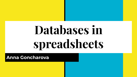# **Databases in spreadsheets**

**Anna Goncharova**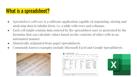# What is a spreadsheet?

- Spreadsheet software is a software application capable of organizing, storing and analyzing data in tabular form, i.e. a table with rows and columns.
- Each cell might contain data entered by the spreadsheet user or generated by the formulas that can calculate values based on the contents of other cells in an automated manner
- Historically originated from paper spreadsheets
- Commonly known examples include Microsoft Excel and Google Spreadsheets



| $\sim$         | 쿠<br>e     | Ś<br>100%<br>$\rightarrow$ | $\%$<br>$.0$   | $.00$ 123 -<br>Arial | 10<br>÷               | в<br>Ι<br>윾<br>÷ |  |
|----------------|------------|----------------------------|----------------|----------------------|-----------------------|------------------|--|
| .fx            |            |                            |                |                      |                       |                  |  |
|                | A          | B                          | Ċ              | D                    | E                     | F                |  |
| 1              | First name | Last name                  | State          | City                 | <b>Street Address</b> | Join date        |  |
| $\overline{2}$ | Ann        | Cold                       | WI             | Springfield          | 7 J Dr.               | 2/2/1990         |  |
| $\overline{3}$ | Bob        | New                        | N <sub>C</sub> | Sit                  | 1411 Lincoln St.      | 7/10/2015        |  |
| $\overline{a}$ | Ardo       | Toothache                  | DE             | Blob                 | 787 An Tw             | 12/1/1960        |  |
| 6              | JJ.        | Key                        | AK             | Tilly                | 1 Kool-aid St.        | 11/25/2017       |  |
| 6              | Po         | $\overline{7}$             | HI             | Boston               | 55 Globe              | 2/13/1990        |  |
| $\mathbf{7}$   | Ш          | Jeans.                     | <b>ND</b>      | Tub                  | 1000 Broadway         | 8/8/2005         |  |
| 8              | Gob 34     | Poll                       | KY             | Tab                  | 2219 Lake Ave.        | 1/6/1963         |  |
| $\Omega$       |            |                            |                |                      |                       |                  |  |
| 10             |            |                            |                |                      |                       |                  |  |
| 11             |            |                            |                |                      |                       |                  |  |
| 12             |            |                            |                |                      |                       |                  |  |

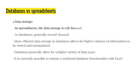## Databases vs spreadsheets

1.Data storage:

-In spreadsheets, the data storage is cell-focused

- In databases, generally record-focused

-More efficient data storage in databases allows for higher volumes of information to be stored and manipulated

-Databases generally allow for a higher variety of data types

-It is currently possible to imitate a relational database functionality with Excel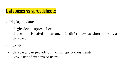## Databases vs spreadsheets

- 2. Displaying data:
	- single view in spreadsheets
	- data can be isolated and arranged in different ways when querying a database

3.Integrity:

- databases can provide built-in integrity constraints
- have a list of authorized users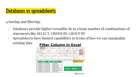# Databases vs spreadsheets

4.Sorting and filtering:

- Databases provide higher versatility de to a large number of combinations of statements like SELECT, ORDER BY, GROUP BY
- Spreadsheets have limited capabilities in terms of how we can manipulate existing data **Filter Column in Excel**

| File           | Home<br>$X$ Cut                          | Insert          | Page Layout<br>Calibri | Formulas<br>$\cdot$ 11 $\cdot$ A <sup>*</sup> A <sup>*</sup> | Data<br>$\Xi \equiv \equiv$ $\Rightarrow$ | Review | View<br>Help<br>$\Sigma$ AutoSum                        | Tell me<br>$\circ$               |
|----------------|------------------------------------------|-----------------|------------------------|--------------------------------------------------------------|-------------------------------------------|--------|---------------------------------------------------------|----------------------------------|
| Paste          | LA Copy *<br>Format Painter<br>Clipboard | B<br>is.        |                        | $\overline{u}$<br>Font                                       | 퇴목 금   표 표<br>Alignment                   |        | $V$ Fill $\sim$<br>Clear v<br>$\frac{A}{7}$ Sort A to Z | Sort & Find &<br>Filter v Select |
| 125            | ٧                                        |                 | fx                     |                                                              |                                           |        | 4I.<br>Sort Z to A                                      |                                  |
| Á              | $\mathsf{A}$                             | B               | C                      | D                                                            | E                                         | F      | Custom Sort<br>$\overline{+1}$                          |                                  |
| $\mathbf{1}$   | <b>Product &amp; Date</b>                | $\mathbf{v}$    |                        | <b>Amour's Category</b><br>$\overline{\mathbf{v}}$           |                                           |        | 57<br>Filter                                            |                                  |
| $\overline{2}$ | Product 1                                | $12$ -Jun- $18$ |                        | 477 Fruits                                                   |                                           |        | Clear                                                   |                                  |
| 3              | Product 2                                | $18$ -Jul- $18$ |                        | 466 Grocery                                                  |                                           |        | ់ខ្មែ<br>Reapply                                        |                                  |
| $\overline{4}$ | Product 3                                | 15-Aug-18       |                        | 504 Grocery                                                  |                                           |        |                                                         |                                  |
| 5              | Product 4                                | $20$ -Jul- $18$ |                        | 526 Fresh fruits                                             |                                           |        | $Ctrl + Shift + L$                                      |                                  |
| 6              | Product 5                                | 21-Oct-18       |                        | 820 Organic Fruits                                           |                                           |        |                                                         |                                  |
| 7              | Product 6                                | 28-Oct-18       |                        | 681 Grocery                                                  |                                           |        |                                                         |                                  |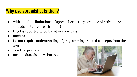#### Why use spreadsheets then?

- With all of the limitations of spreadsheets, they have one big advantage spreadsheets are user-friendly!
- Excel is reported to be learnt in a few days
- **Intuitive**
- Do not require understanding of programming-related concepts from the user
- Good for personal use
- Include data visualization tools

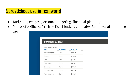#### Spreadsheet use in real world

use

- Budgeting (wages, personal budgeting, financial planning
- Microsoft Office offers free Excel budget templates for personal and office

| Personal Budget  |          |          |              |
|------------------|----------|----------|--------------|
| Monthly Expenses |          |          |              |
| <b>ITEM</b>      | DUE DATE | - AMOUNT | $\mathbf{v}$ |
| Rent/mortgage    | Date     | \$800.00 |              |
| Electric         | Date     | \$120.00 |              |
| Gas              | Date     | \$50.00  |              |
| Cell phone       | Date     | \$45.00  |              |
| Groceries        | Date     | \$500.00 |              |
| Car payment      | Date     | \$273.00 |              |
| Auto expenses    | Date     | \$120.00 |              |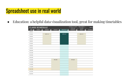### Spreadsheet use in real world

● Education: a helpful data visualization tool, great for making timetables

|               | <b>CLASS SCHEDULE</b> |                    | <b>SCHEDULE START</b><br>8:00 AM | TIME INTERVAL<br><b>15 MIN</b> | Class Li       |                    |                 |
|---------------|-----------------------|--------------------|----------------------------------|--------------------------------|----------------|--------------------|-----------------|
| TIME <b>B</b> | <b>SUNDAY</b><br>⊓    | <b>MONDAY</b><br>п | TUESDAY<br>ы                     | WEDNESDAY                      | THURSDAY<br>Е  | <b>FRIDAY</b><br>≂ | <b>SATURDAY</b> |
| 8:00 AM       |                       |                    |                                  |                                |                |                    |                 |
| 8:15 AM       |                       | <b>MTH-113</b>     |                                  | MTH-113                        |                | <b>MTH-113</b>     |                 |
| 8:30 AM       |                       |                    |                                  |                                |                |                    |                 |
| 8:45 AM       |                       |                    |                                  |                                |                |                    |                 |
| 9:00 AM       |                       |                    |                                  |                                |                |                    |                 |
| 9:15 AM       |                       |                    |                                  |                                |                |                    |                 |
| 9:30 AM       |                       |                    |                                  |                                |                |                    |                 |
| 9:45 AM       |                       |                    |                                  |                                |                |                    |                 |
| 10:00 AM      |                       |                    |                                  |                                |                |                    |                 |
| 10:15 AM      |                       |                    |                                  |                                |                |                    |                 |
| 10:30 AM      |                       |                    |                                  |                                |                |                    |                 |
| 10:45 AM      |                       |                    |                                  |                                |                |                    |                 |
| 11:00 AM      |                       |                    | <b>HPE-295</b>                   |                                | <b>HPE-295</b> |                    |                 |
| 11:15 AM      |                       |                    |                                  |                                |                |                    |                 |
| 11:30 AM      |                       |                    |                                  |                                |                |                    |                 |
| 11:45 AM      |                       |                    |                                  |                                |                |                    |                 |
| 12:00 PM      |                       |                    |                                  |                                |                |                    |                 |
| 12:15 PM      |                       |                    |                                  |                                |                |                    |                 |
| 12:30 PM      |                       |                    |                                  |                                |                |                    |                 |
|               |                       |                    |                                  |                                |                |                    |                 |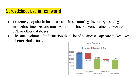### Spreadsheet use in real world

- Extremely popular in business: aids in accounting, inventory tracking, managing time logs and more without hiring someone trained to work with SQL or other databases
- The small volume of information that a lot of businesses operate makes Excel a better choice for them